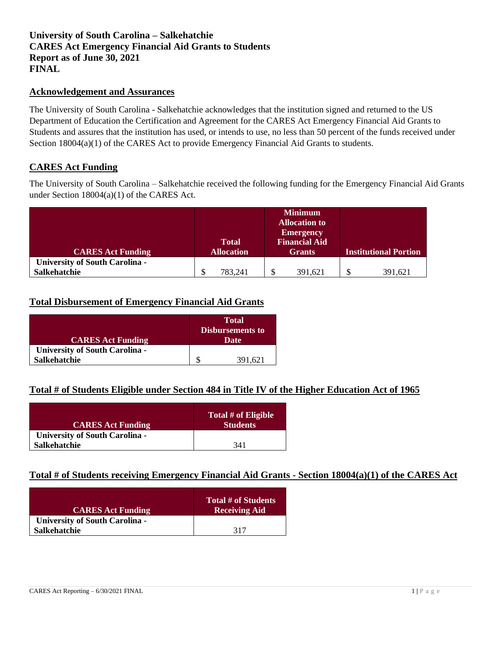## **University of South Carolina – Salkehatchie CARES Act Emergency Financial Aid Grants to Students Report as of June 30, 2021 FINAL**

#### **Acknowledgement and Assurances**

The University of South Carolina - Salkehatchie acknowledges that the institution signed and returned to the US Department of Education the Certification and Agreement for the CARES Act Emergency Financial Aid Grants to Students and assures that the institution has used, or intends to use, no less than 50 percent of the funds received under Section 18004(a)(1) of the CARES Act to provide Emergency Financial Aid Grants to students.

### **CARES Act Funding**

The University of South Carolina – Salkehatchie received the following funding for the Emergency Financial Aid Grants under Section 18004(a)(1) of the CARES Act.

|                                       |                   |   | <b>Minimum</b>       |                              |
|---------------------------------------|-------------------|---|----------------------|------------------------------|
|                                       |                   |   | <b>Allocation to</b> |                              |
|                                       |                   |   | <b>Emergency</b>     |                              |
|                                       | <b>Total</b>      |   | <b>Financial Aid</b> |                              |
| <b>CARES Act Funding</b>              | <b>Allocation</b> |   | <b>Grants</b>        | <b>Institutional Portion</b> |
| <b>University of South Carolina -</b> |                   |   |                      |                              |
| <b>Salkehatchie</b>                   | 783.241           | Φ | 391,621              | \$<br>391.621                |

## **Total Disbursement of Emergency Financial Aid Grants**

| <b>CARES Act Funding</b>              | <b>Total</b><br><b>Disbursements to</b><br>Date |
|---------------------------------------|-------------------------------------------------|
| <b>University of South Carolina -</b> |                                                 |
| <b>Salkehatchie</b>                   | 391,621                                         |

### **Total # of Students Eligible under Section 484 in Title IV of the Higher Education Act of 1965**

| <b>CARES Act Funding</b>              | Total # of Eligible<br><b>Students</b> |
|---------------------------------------|----------------------------------------|
| <b>University of South Carolina -</b> |                                        |
| <b>Salkehatchie</b>                   | 341                                    |

### **Total # of Students receiving Emergency Financial Aid Grants - Section 18004(a)(1) of the CARES Act**

| <b>CARES Act Funding</b>              | Total # of Students<br><b>Receiving Aid</b> |
|---------------------------------------|---------------------------------------------|
| <b>University of South Carolina -</b> |                                             |
| <b>Salkehatchie</b>                   | 317                                         |